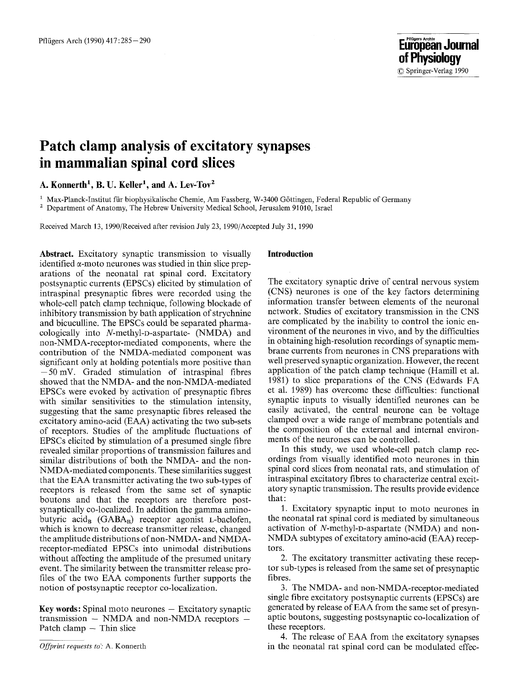# **Patch clamp analysis of excitatory synapses in mammalian spinal cord slices**

# A. Konnerth<sup>1</sup>, B. U. Keller<sup>1</sup>, and A. Lev-Tov<sup>2</sup>

<sup>1</sup> Max-Planck-Institut für biophysikalische Chemie, Am Fassberg, W-3400 Göttingen, Federal Republic of Germany  $<sup>2</sup>$  Department of Anatomy, The Hebrew University Medical School, Jerusalem 91010, Israel</sup>

Received March 13, 1990/Received after revision July 23, 1990/Aceepted July 31, 1990

**Abstract.** Excitatory synaptic transmission to visually identified  $\alpha$ -moto neurones was studied in thin slice preparations of the neonatal rat spinal cord. Excitatory postsynaptic currents (EPSCs) elicited by stimulation of intraspinal presynaptic fibres were recorded using the whole-cell patch clamp technique, following blockade of inhibitory transmission by bath application of strychnine and bicuculline. The EPSCs could be separated pharmacologically into N-methyl-D-aspartate- (NMDA) and non-NMDA-receptor-mediated components, where the contribution of the NMDA-mediated component was significant only at holding potentials more positive than  $-50$  mV. Graded stimulation of intraspinal fibres showed that the NMDA- and the non-NMDA-mediated EPSCs were evoked by activation of presynaptic fibres with similar sensitivities to the stimulation intensity, suggesting that the same presynaptic fibres released the excitatory amino-acid (EAA) activating the two sub-sets of receptors. Studies of the amplitude fluctuations of EPSCs elicited by stimulation of a presumed single fibre revealed similar proportions of transmission failures and similar distributions of both the NMDA- and the non-NMDA-mediated components. These similarities suggest that the EAA transmitter activating the two sub-types of receptors is released from the same set of synaptic boutons and that the receptors are therefore postsynaptically co-localized. In addition the gamma aminobutyric acid<sub>B</sub> (GABA<sub>B</sub>) receptor agonist L-baclofen, which is known to decrease transmitter release, changed the amplitude distributions of non-NMDA- and NMDAreceptor-mediated EPSCs into unimodal distributions without affecting the amplitude of the presumed unitary event. The similarity between the transmitter release profiles of the two EAA components further supports the notion of postsynaptic receptor co-localization.

**Key words:** Spinal moto neurones  $-$  Excitatory synaptic  $transmission - NMDA$  and non-NMDA receptors  $-$ Patch clamp  $-$  Thin slice

#### **Introduction**

The excitatory synaptic drive of central nervous system (CNS) neurones is one of the key factors determining information transfer between elements of the neuronal network. Studies of excitatory transmission in the CNS are complicated by the inability to control the ionic environment of the neurones in vivo, and by the difficulties in obtaining high-resolution recordings of synaptic membrane currents from neurones in CNS preparations with well preserved synaptic organization. However, the recent application of the patch clamp technique (Hamill et al. 1981) to slice preparations of the CNS (Edwards FA et al. 1989) has overcome these difficulties: functional synaptic inputs to visually identified neurones can be easily activated, the central neurone can be voltage clamped over a wide range of membrane potentials and the composition of the external and internal environments of the neurones can be controlled.

In this study, we used whole-cell patch clamp recordings from visually identified moto neurones in thin spinal cord slices from neonatal rats, and stimulation of intraspinal excitatory fibres to characterize central excitatory synaptic transmission. The results provide evidence that:

1. Excitatory spynaptic input to moto neurones in the neonatal rat spinal cord is mediated by simultaneous activation of N-methyl-D-aspartate (NMDA) and non-NMDA subtypes of excitatory amino-acid (EAA) receptors.

2. The excitatory transmitter activating these receptor sub-types is released from the same set of presynaptic fibres.

3. The NMDA- and non-NMDA-receptor-mediated single fibre excitatory postsynaptic currents (EPSCs) are generated by release of EAA from the same set of presynaptic boutons, suggesting postsynaptic co-localization of these receptors.

4. The release of EAA from the excitatory synapses in the neonatal rat spinal cord can be modulated **effec-**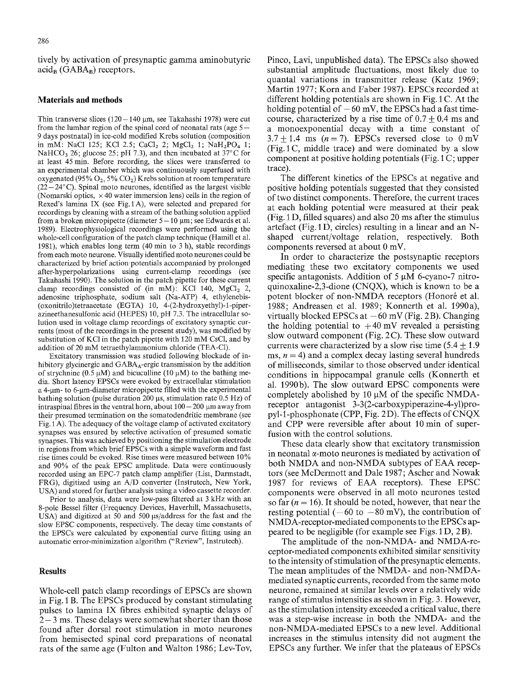tively by activation of presynaptic gamma aminobutyric  $\text{acid}_{\mathbf{B}}$  (GABA<sub>B</sub>) receptors.

#### **Materials and methods**

Thin transverse slices  $(120-140 \text{ nm})$ , see Takahashi 1978) were cut from the lumbar region of the spinal cord of neonatal rats (age 5 - 9 days postnatal) in ice-cold modified Krebs solution (composition in mM: NaCl 125; KCl 2.5; CaCl<sub>2</sub> 2; MgCl<sub>2</sub> 1; NaH<sub>2</sub>PO<sub>4</sub> 1; NaHCO<sub>3</sub> 26; glucose 25; pH 7.3), and then incubated at  $37^{\circ}$ C for at least 45 min. Before recording, the slices were transferred to an experimental chamber which was continuously superfused with oxygenated (95%  $O_2$ , 5%  $CO_2$ ) Krebs solution at room temperature  $(22-24$ °C). Spinal moto neurones, identified as the largest visible (Nomarski optics,  $\times$  40 water immersion lens) cells in the region of Rexed's lamina IX (see Fig. 1 A), were selected and prepared for recordings by cleaning with a stream of the bathing solution applied from a broken micropipette (diameter  $5 - 10 \mu m$ ; see Edwards et al. 1989). Electrophysiological recordings were performed using the whole-cell configuration of the patch clamp technique (Hamill et al. 1981), which enables long term (40 min to 3 h), stable recordings from each moto neurone. Visually identified moto neurones could be characterized by brief action-potentials accompanied by prolonged after-hyperpolarizations using current-clamp recordings (see Takahashi 1990). The solution in the patch pipette for these current clamp recordings consisted of (in mM): KCl 140,  $MgCl<sub>2</sub>$  2, adenosine triphosphate, sodium salt (Na-ATP) 4, ethylenebis- (oxonitrilo)tetraacetate (EGTA) 10, 4-(2-hydroxyethyt)-l-piperazineethanesulfonic acid (HEPES) 10, pH 7.3. The intracellular solution used in voltage clamp recordings of excitatory synaptic currents (most of the recordings in the present study), was modified by substitution of KC1 in the patch pipette with 120 mM CsC1, and by addition of 20 mM tetraethylammonium chloride (TEA-C1).

Excitatory transmission was studied following blockade of inhibitory glycinergic and  $GABA_A$ -ergic transmission by the addition of strychnine (0.5  $\mu$ M) and bicuculline (10  $\mu$ M) to the bathing media. Short latency EPSCs were evoked by extracellular stimulation a 4-um- to 6-um-diameter micropipette filled with the experimental bathing solution (pulse duration 200  $\mu$ s, stimulation rate 0.5 Hz) of intraspinal fibres in the ventral horn, about  $100 - 200$  µm away from their presumed termination on the somatodendritic membrane (see Fig. 1 A). The adequacy of the voltage clamp of activated excitatory synapses was ensured by selective activation of presumed somatic synapses. This was achieved by positioning the stimulation electrode in regions from which brief EPSCs with a simple waveform and fast rise times could be evoked. Rise times were measured between 10% and 90% of the peak EPSC amplitude. Data were continuously recorded using an EPC-7 patch clamp amplifier (List, Darmstadt, FRG), digitized using an A/D converter (Instrutech, New York, USA) and stored for further analysis using a video cassette recorder.

Prior to analysis, data were low-pass filtered at 3 kHz with an 8-pole Bessel filter (Frequency Devices, Haverhill, Massachusetts,  $\overline{USA}$ ) and digitized at 50 and 500 us/address for the fast and the slow EPSC components, respectively. The decay time constants of the EPSCs were calculated by exponential curve fitting using an automatic error-minimization algorithm ("Review", Instrutech).

#### **Results**

Whole-cell patch clamp recordings of EPSCs are shown in Fig. 1 B. The EPSCs produced by constant stimulating pulses to lamina IX fibres exhibited synaptic delays of  $2-3$  ms. These delays were somewhat shorter than those found after dorsal root stimulation in moto neurones from hemisected spinal cord preparations of neonatal rats of the same age (Fulton and Walton 1986; Lev-Tov, Pinco, Lavi, unpublished data). The EPSCs also showed substantial amplitude fluctuations, most likely due to quantal variations in transmitter release (Katz 1969; Martin 1977; Korn and Faber 1987). EPSCs recorded at different holding potentials are shown in Fig. 1 C. At the holding potential of  $-60$  mV, the EPSCs had a fast timecourse, characterized by a rise time of  $0.7 \pm 0.4$  ms and a monoexponential decay with a time constant of  $3.7 \pm 1.4$  ms (n = 7). EPSCs reversed close to 0 mV (Fig. 1 C, middle trace) and were dominated by a slow component at positive holding potentials (Fig. 1 C; upper trace).

The different kinetics of the EPSCs at negative and positive holding potentials suggested that they consisted of two distinct components. Therefore, the current traces at each holding potential were measured at their peak (Fig. 1 D, filled squares) and also 20 ms after the stimulus artefact (Fig. 1 D, circles) resulting in a linear and an Nshaped current/voltage relation, respectively. Both components reversed at about 0 mV.

In order to characterize the postsynaptic receptors mediating these two excitatory components we used specific antagonists. Addition of  $5 \mu M$  6-cyano-7 nitroquinoxaline-2,3-dione (CNQX), which is known to be a potent blocker of non-NMDA receptors (Honoré et al. 1988; Andreasen et al. 1989; Konnerth et al. 1990a), virtually blocked EPSCs at  $-60$  mV (Fig. 2B). Changing the holding potential to  $+40$  mV revealed a persisting slow outward component (Fig. 2C). These slow outward currents were characterized by a slow rise time  $(5.4 \pm 1.9)$ ms,  $n = 4$ ) and a complex decay lasting several hundreds of milliseconds, similar to those observed under identical conditions in hippocampal granule cells (Konnerth et al. 1990b). The slow outward EPSC components were completely abolished by  $10 \mu M$  of the specific NMDAreceptor antagonist 3-3(2-carboxypiperazine-4-yl)propyl-l-phosphonate (CPP, Fig. 2D). The effects of CNQX and CPP were reversible after about 10 min of superfusion with the control solutions.

These data clearly show that excitatory transmission in neonatal  $\alpha$ -moto neurones is mediated by activation of both NMDA and non-NMDA subtypes of EAA receptors (see McDermott and Dale 1987; Ascher and Nowak 1987 for reviews of EAA receptors). These EPSC components were observed in all moto neurones tested so far  $(n = 16)$ . It should be noted, however, that near the resting potential ( $-60$  to  $-80$  mV), the contribution of NMDA-receptor-mediated components to the EPSCs appeared to be negligible (for example see Figs. 1 D, 2 B).

The amplitude of the non-NMDA- and NMDA-receptor-mediated components exhibited similar sensitivity to the intensity of stimulation of the presynaptic elements. The mean amplitudes of the NMDA- and non-NMDAmediated synaptic currents, recorded from the same moto neurone, remained at similar levels over a relatively wide range of stimulus intensities as shown in Fig. 3. However, as the stimulation intensity exceeded a critical value, there was a step-wise increase in both the NMDA- and the non-NMDA-mediated EPSCs to a new level. Additional increases in the stimulus intensity did not augment the EPSCs any further. We infer that the plateaus of EPSCs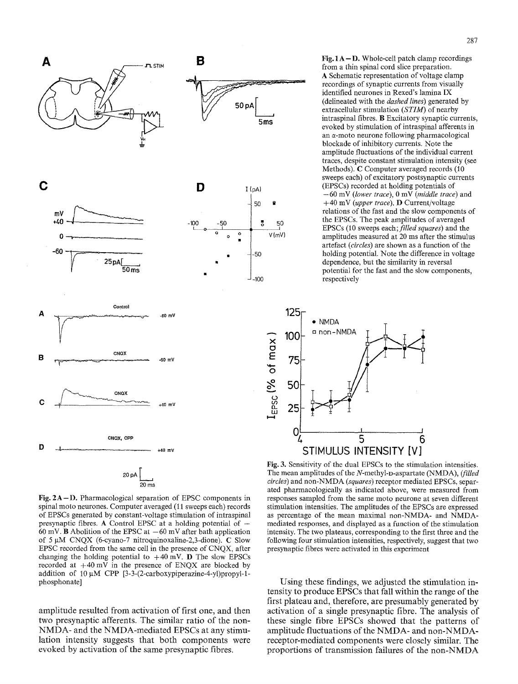

Fig. 2A-D, Pharmacological separation of EPSC components in spinal moto neurones, Computer averaged (11 sweeps each) records of EPSCs generated by constant-voltage stimulation of intraspinal presynaptic fibres. A Control EPSC at a holding potential of --60 mV. **B** Abolition of the EPSC at  $-60$  mV after bath application of 5 pM CNQX (6-cyano-7 nitroquinoxaline-2,3-dione). C Slow EPSC recorded from the same cell in the presence of CNQX, after changing the holding potential to  $+40$  mV. D The slow EPSCs recorded at  $+40$  mV in the presence of ENQX are blocked by addition of 10 µM CPP [3-3-(2-carboxypiperazine-4-yl)propyl-1phosphonate]

amplitude resulted from activation of first one, and then two presynaptic afferents. The similar ratio of the non-NMDA- and the NMDA-mediated EPSCs at any stimulation intensity suggests that both components were evoked by activation of the same presynaptic fibres,

Fig. 1 A- D. Whole-cell patch clamp recordings from a thin spinal cord slice preparation. A Schematic representation of voltage clamp recordings of synaptie currents from visually identified neurones in Rexed's lamina IX (delineated with the *dashed lines)* generated by extracellular stimulation *(STIM)* of nearby intraspinal fibres. B Excitatory synaptic currents, evoked by stimulation of intraspinal afferents in an  $\alpha$ -moto neurone following pharmacological blockade of inhibitory currents. Note the amplitude fluctuations of the individual current traces, despite constant stimulation intensity (see Methods). C Computer averaged records (10 sweeps each) of excitatory postsynaptic currents (EPSCs) recorded at holding potentials of -60 mV *(lower trace), 0* mV *(middle trace)* and + 40 mV *(upper trace).* D Current/voltage relations of the fast and the slow components of the EPSCs. The peak amplitudes of averaged EPSCs (10 sweeps each; *filled squares*) and the amplitudes measured at 20 ms after the stimulus artefact *(circles)* are shown as a function of the holding potential. Note the difference in voltage dependence, but the similarity in reversal potential for the fast and the slow components, respectively



5O

Fig. 3, Sensitivity of the dual EPSCs to the stimulation intensities. The mean amplitudes of the N-methyl-o-aspartate (NMDA), *(filled circles)* and non-NMDA *(squares)* receptor mediated EPSCs, separated pharmacologically as indicated above, were measured from responses sampled from the same moto neurone at seven different stimulation intensities. The amplitudes of the EPSCs are expressed as percentage of the mean maximal non-NMDA- and NMDAmediated responses, and displayed as a function of the stimulation intensity. The two plateaus, corresponding to the first three and the following four stimulation intensities, respectively, suggest that two presynaptic fibres were activated in this experiment

Using these findings, we adjusted the stimulation intensity to produce EPSCs that fall within the range of the first plateau and, therefore, are presumably generated by activation of a single presynaptic fibre. The analysis of these single fibre EPSCs showed that the patterns of amplitude fluctuations of the NMDA- and non-NMDAreceptor-mediated components were closely similar. The proportions of transmission failures of the non-NMDA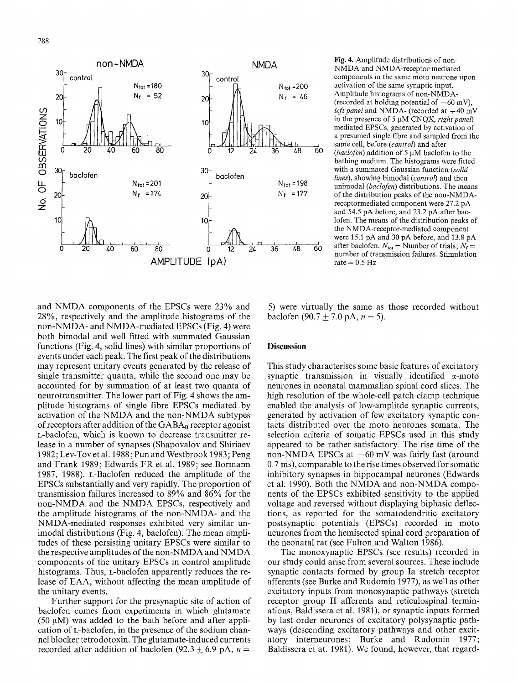

Fig. 4. Amplitude distributions of non-NMDA and NMDA-receptor-mediated components in the same moto neurone upon activation of the same synaptic input. Amplitude histograms of non-NMDA- (recorded at holding potential of  $-60$  mV), *left panel* and NMDA- (recorded at  $+40$  mV in the presence of 5  $\mu$ M CNQX, *right panel*) mediated EPSCs, generated by activation of a presumed single fibre and sampled from the same cell, before *(control)* and after  $\overline{60}$  *(baclofen)* addition of 5  $\mu$ M baclofen to the bathing medium. The histograms were fitted with a summated Gaussian function *(solid lines),* showing bimodal *(control)* and then unimodal *(baclofen)* distributions. The means of the distribution peaks of the non-NMDAreceptormediated component were 27.2 pA and 54.5 pA before, and 23.2 pA after bac-Iofen. The means of the distribution peaks of the NMDA-receptor-mediated component were 15.1 pA and 30 pA before, and 13.8 pA  $\vec{60}$  after baclofen.  $N_{\text{tot}} =$  Number of trials;  $N_f =$ number of transmission failures. Stimulation  $rate = 0.5 Hz$ 

and NMDA components of the EPSCs were 23% and 28%, respectively and the amplitude histograms of the non-NMDA- and NMDA-mediated EPSCs (Fig. 4) were both bimodal and well fitted with summated Gaussian functions (Fig. 4, solid lines) with similar proportions of events under each peak. The first peak of the distributions may represent unitary events generated by the release of single transmitter quanta, while the second one may be accounted for by summation of at least two quanta of neurotransmitter. The lower part of Fig. 4 shows the amplitude histograms of single fibre EPSCs mediated by activation of the NMDA and the non-NMDA subtypes of receptors after addition of the  $GABA_B$  receptor agonist L-baclofen, which is known to decrease transmitter release in a number of synapses (Shapovalov and Shiriaev 1982; Lev-Tov et al. 1988; Pun and Westbrook 1983; Peng and Frank 1989; Edwards FRet al. 1989; see Bormann 1987, 1988). L-Baclofen reduced the amplitude of the EPSCs substantially and very rapidly. The proportion of transmission failures increased to 89% and 86% for the non-NMDA and the NMDA EPSCs, respectively and the amplitude histograms of the non-NMDA- and the NMDA-mediated responses exhibited very similar unimodal distributions (Fig. 4, baclofen). The mean amplitudes of these persisting unitary EPSCs were similar to the respective amplitudes of the non-NMDA and NMDA components of the unitary EPSCs in control amplitude histograms. Thus, L-baclofen apparently reduces the release of EAA, without affecting the mean amplitude of the unitary events.

Further support for the presynaptic site of action of baclofen comes from experiments in which glutamate  $(50 \mu M)$  was added to the bath before and after application of L-baclofen, in the presence of the sodium channel blocker tetrodotoxin. The glutamate-induced currents recorded after addition of baclofen (92.3  $\pm$  6.9 pA, n =

5) were virtually the same as those recorded without baclofen (90.7  $\pm$  7.0 pA,  $n = 5$ ).

## **Discussion**

This study characterises some basic features of excitatory synaptic transmission in visually identified  $\alpha$ -moto neurones in neonatal mammalian spinal cord slices. The high resolution of the whole-cell patch clamp technique enabled the analysis of low-amplitde synaptic currents, generated by activation of few excitatory synaptic contacts distributed over the moto neurones somata. The selection criteria of somatic EPSCs used in this study appeared to be rather satisfactory. The rise time of the non-NMDA EPSCs at  $-60$  mV was fairly fast (around 0.7 ms), comparable to the rise times observed for somatic inhibitory synapses in hippocampal neurones (Edwards et al. 1990). Both the NMDA and non-NMDA components of the EPSCs exhibited sensitivity to the applied voltage and reversed without displaying biphasic deflections, as reported for the somatodendritic excitatory postsynaptic potentials (EPSCs) recorded in moto neurones from the hemisected spinal cord preparation of the neonatal rat (see Fulton and Walton 1986).

The monoxynaptic EPSCs (see results) recorded in our study could arise from several sources. These include synaptic contacts formed by group Ia stretch receptor afferents (see Burke and Rudomin 1977), as well as other excitatory inputs from monosynaptic pathways (stretch receptor group II afferents and reticulospinal terminations, Baldissera et al. 1981), or synaptic inputs formed by last order neurones of excitatory polysynaptic pathways (descending excitatory pathways and other excitatory interneurones; Burke and Rudomin 1977; Baldissera et at. 1981). We found, however, that regard-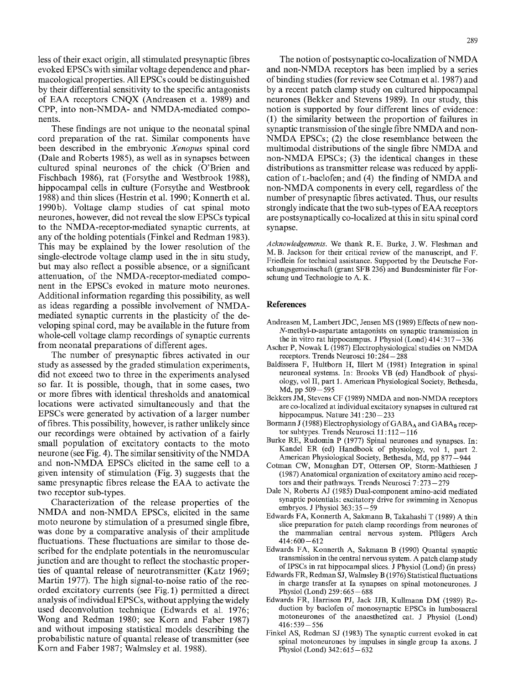less of their exact origin, all stimulated presynaptic fibres evoked EPSCs with similar voltage dependence and pharmacological properties. All EPSCs could be distinguished by their differential sensitivity to the specific antagonists of EAA receptors CNOX (Andreasen et a. 1989) and CPP, into non-NMDA- and NMDA-mediated components.

These findings are not unique to the neonatal spinal cord preparation of the rat. Similar components have been described in the embryonic *Xenopus* spinal cord (Dale and Roberts 1985), as well as in synapses between cultured spinal neurones of the chick (O'Brien and Fischbach 1986), rat (Forsythe and Westbrook 1988), hippocampal cells in culture (Forsythe and Westbrook 1988) and thin slices (Hestrin et al. 1990; Konnerth et al. 1990b). Voltage clamp studies of cat spinal moto neurones, however, did not reveal the slow EPSCs typical to the NMDA-receptor-mediated synaptic currents, at any" of the holding potentials (Finkel and Redman 1983). This may be explained by the lower resolution of the single-electrode voltage clamp used in the in situ study, but may also reflect a possible absence, or a significant attenuation, of the NMDA-receptor-mediated component in the EPSCs evoked in mature moto neurones. Additional information regarding this possibility, as well as ideas regarding a possible involvement of NMDAmediated synaptic currents in the plasticity of the developing spinal cord, may be available in the future from whole-cell voltage clamp recordings of synaptic currents from neonatal preparations of different ages.

The number of presynaptic fibres activated in our study as assessed by the graded stimulation experiments, did not exceed two to three in the experiments analysed so far. It is possible, though, that in some cases, two or more fibres with identical thresholds and anatomical locations were activated simultaneously and that the EPSCs were generated by activation of a larger nurnber of fibres. This possibility, however, is rather unlikely since our recordings were obtained by activation of a fairly small population of excitatory contacts to the moto neurone (see Fig. 4). The similar sensitivity of the NMDA and non-NMDA EPSCs elicited in the same cell to a given intensity of stimulation (Fig. 3) suggests that the same presynaptic fibres release the EAA to activate the two receptor sub-types.

Characterization of the release properties of the NMDA and non-NMDA EPSCs, elicited in the same moto neurone by stimulation of a presumed single fibre, was done by a comparative analysis of their amplitude fluctuations. These fluctuations are similar to those described for the endplate potentials in the neuromuscular junction and are thought to reflect the stochastic properties of quantal release of neurotransmitter (Katz 1969; Martin 1977). The high signal-to-noise ratio of the recorded excitatory- currents (see Fig. 1) permitted a direct analysis of individual EPSCs, without applying the widely used deconvolution technique (Edwards et al. 1976; Wong and Redman 1980; see Korn and Faber 1987) and without imposing statistical models describing the probabilistic nature of quantai release of transmitter (see Korn and Faber 1987; Walmsley et al. 1988).

The notion of postsynaptic co-localization of NMDA and non-NMDA receptors has been implied by a series of binding studies (for review see Cotman et al. 1987) and by a recent patch clamp study on cultured hippocampal neurones (Bekker and Stevens 1989). In our study, this notion is supported by four different lines of evidence: (1) the similarity between the proportion of failures in synaptic transmission of the single fibre NMDA and non-NMDA EPSCs; (2) the close resemblance between the multimodal distributions of the single fibre NMDA and non-NMDA EPSCs; (3) the identical changes in these distributions as transmitter release was reduced by application of L-baclofen; and (4) the finding of NMDA and non-NMDA components in every cell, regardless of the number of presynaptic fibres activated. Thus, our results strongly indicate that the two sub-types of EAA receptors are postsynaptically co-localized at this in situ spinal cord synapse.

*Acknowledgements.* We thank R.E. Burke, J.W. Fleshman and M.B. Jackson for their critical review of the manuscript, and F. Friedlein for technical assistance. Supported by the Deutsche Forschungsgemeinschaft (grant SFB 236) and Bundesminister fiir Forschung und Technologie to A. K.

### **References**

- Andreasen M, Lambert JDC, Jensen MS (1989) Effects of new non-N-methyl-D-aspartate antagonists on synaptic transmission in the in vitro rat hippocampus. J Physiol (Lond)  $414:317-336$
- Ascher P, Nowak L (1987) Electrophysioiogicat studies on NMDA receptors. Trends Neurosci 10: 284- 288
- Baldissera F, Hultborn H, Illert M (1981) Integration in spinal neuroneal systems. In: Brooks VB (ed) Handbook of physiology, vol II, part 1. American Physiological Society, Bethesda, Md, pp 509--595
- Bekkers JM, Stevens CF (1989) NMDA and non-NMDA receptors are co-localized at individual excitatory synapses in cultured rat hippocampus. Nature 341:230-233
- Bormann J (1988) Electrophysiology of GABAA and GABAB receptor subtypes. Trends Neurosci 11:112 - 116
- Burke RE, Rudomin P (1977) Spinal neurones and synapses. In: Kandel ER (ed) Handbook of physiology, vol 1, part 2. American Physiological Society, Bethesda, Md, pp 877-944
- Cotman CW, Monaghan DT, Ottersen OP, Storm-Mathiesen J (t987) Anatomical organization of excitatory amino acid receptors and their pathways. Trends Neurosci 7:273-279
- Dale N, Roberts AJ (1985) Dual-component amino-acid mediated synaptic potentials: excitatory drive for swimming in Xenopus embryos. J Physiol 363:35 - 59
- Edwards FA, Konnerth A, Sakmann B, Takahashi T (1989) A thin slice preparation for patch clamp recordings from neurones of the mammalian central nervous system. Pflügers Arch  $414:600-612$
- Edwards FA, Konnerth A, Sakmann B (1990) Quantal synaptic transmission in the central nervous system. A patch clamp study of IPSCs in rat hippocampal slices. J Physiol (Lond) (in press)
- Edwards FR, Redman SJ, Walmsley B (1976) Statistical fluctuations in charge transfer at Ia synapses on spinal motoneurones. J Physiol (Lond) 259:665-688
- Edwards FR, Harrison PJ, Jack JJB, Kullmann DM (1989) Reduction by baclofen of monosynaptic EPSCs in lumbosacral motoneurones of the anaesthetized cat. J Physiol (Lond) 416:539-556
- Finkel AS, Redman SJ (1983) The synaptic current evoked in cat spinal motoneurones by impulses in single group la axons. J Physiol (Lond) 342:615-632